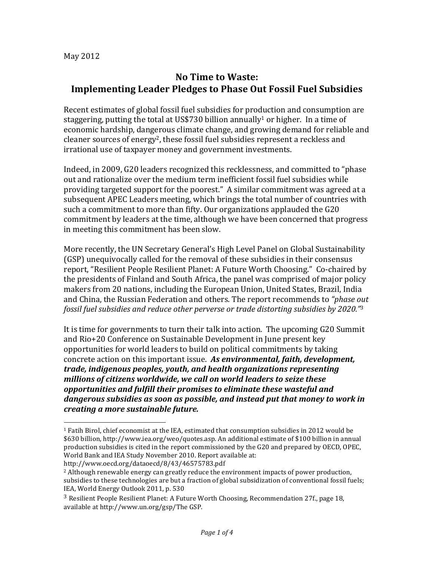# **No Time to Waste: Implementing Leader Pledges to Phase Out Fossil Fuel Subsidies**

Recent estimates of global fossil fuel subsidies for production and consumption are staggering, putting the total at US\$730 billion annually<sup>1</sup> or higher. In a time of economic hardship, dangerous climate change, and growing demand for reliable and cleaner sources of energy<sup>2</sup>, these fossil fuel subsidies represent a reckless and irrational use of taxpayer money and government investments.

Indeed, in 2009, G20 leaders recognized this recklessness, and committed to "phase out and rationalize over the medium term inefficient fossil fuel subsidies while providing targeted support for the poorest." A similar commitment was agreed at a subsequent APEC Leaders meeting, which brings the total number of countries with such a commitment to more than fifty. Our organizations applauded the G20 commitment by leaders at the time, although we have been concerned that progress in meeting this commitment has been slow.

More recently, the UN Secretary General's High Level Panel on Global Sustainability (GSP) unequivocally called for the removal of these subsidies in their consensus report, "Resilient People Resilient Planet: A Future Worth Choosing." Co-chaired by the presidents of Finland and South Africa, the panel was comprised of major policy makers from 20 nations, including the European Union, United States, Brazil, India and China, the Russian Federation and others. The report recommends to *"phase out fossil fuel subsidies and reduce other perverse or trade distorting subsidies by 2020.*"<sup>3</sup>

It is time for governments to turn their talk into action. The upcoming G20 Summit and Rio+20 Conference on Sustainable Development in June present key opportunities for world leaders to build on political commitments by taking concrete action on this important issue. As environmental, faith, development, *trade, indigenous peoples, youth, and health organizations representing* millions of citizens worldwide, we call on world leaders to seize these *opportunities and fulfill their promises to eliminate these wasteful and* dangerous subsidies as soon as possible, and instead put that money to work in *creating a more sustainable future.*

http://www.oecd.org/dataoecd/8/43/46575783.pdf

 

 $1$  Fatih Birol, chief economist at the IEA, estimated that consumption subsidies in 2012 would be \$630 billion, http://www.iea.org/weo/quotes.asp. An additional estimate of \$100 billion in annual production subsidies is cited in the report commissioned by the G20 and prepared by OECD, OPEC, World Bank and IEA Study November 2010. Report available at:

 $<sup>2</sup>$  Although renewable energy can greatly reduce the environment impacts of power production,</sup> subsidies to these technologies are but a fraction of global subsidization of conventional fossil fuels; IEA, World Energy Outlook 2011, p. 530

<sup>&</sup>lt;sup>3</sup> Resilient People Resilient Planet: A Future Worth Choosing, Recommendation 27f., page 18, available at http://www.un.org/gsp/The GSP.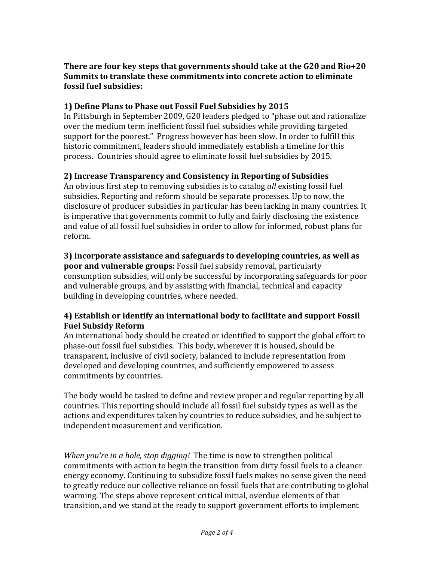#### There are four key steps that governments should take at the G20 and Rio+20 **Summits to translate these commitments into concrete action to eliminate fossil fuel subsidies:**

## **1) Define Plans to Phase out Fossil Fuel Subsidies by 2015**

In Pittsburgh in September 2009, G20 leaders pledged to "phase out and rationalize over the medium term inefficient fossil fuel subsidies while providing targeted support for the poorest." Progress however has been slow. In order to fulfill this historic commitment, leaders should immediately establish a timeline for this process. Countries should agree to eliminate fossil fuel subsidies by 2015.

## **2) Increase Transparency and Consistency in Reporting of Subsidies**

An obvious first step to removing subsidies is to catalog *all* existing fossil fuel subsidies. Reporting and reform should be separate processes. Up to now, the disclosure of producer subsidies in particular has been lacking in many countries. It is imperative that governments commit to fully and fairly disclosing the existence and value of all fossil fuel subsidies in order to allow for informed, robust plans for reform.

#### **3)** Incorporate assistance and safeguards to developing countries, as well as **poor and vulnerable groups:** Fossil fuel subsidy removal, particularly consumption subsidies, will only be successful by incorporating safeguards for poor and vulnerable groups, and by assisting with financial, technical and capacity building in developing countries, where needed.

## **4)** Establish or identify an international body to facilitate and support Fossil **Fuel Subsidy Reform**

An international body should be created or identified to support the global effort to phase-out fossil fuel subsidies. This body, wherever it is housed, should be transparent, inclusive of civil society, balanced to include representation from developed and developing countries, and sufficiently empowered to assess commitments by countries.

The body would be tasked to define and review proper and regular reporting by all countries. This reporting should include all fossil fuel subsidy types as well as the actions and expenditures taken by countries to reduce subsidies, and be subject to independent measurement and verification.

*When you're in a hole, stop digging!* The time is now to strengthen political commitments with action to begin the transition from dirty fossil fuels to a cleaner energy economy. Continuing to subsidize fossil fuels makes no sense given the need to greatly reduce our collective reliance on fossil fuels that are contributing to global warming. The steps above represent critical initial, overdue elements of that transition, and we stand at the ready to support government efforts to implement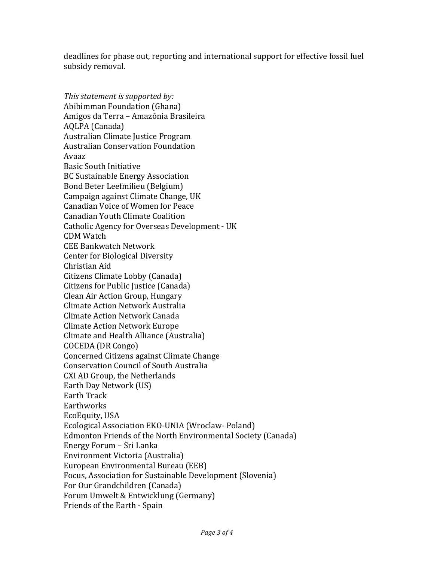deadlines for phase out, reporting and international support for effective fossil fuel subsidy removal.

*This statement is supported by:* Abibimman Foundation (Ghana) Amigos da Terra – Amazônia Brasileira AOLPA (Canada) Australian Climate Justice Program Australian Conservation Foundation Avaaz Basic South Initiative BC Sustainable Energy Association Bond Beter Leefmilieu (Belgium) Campaign against Climate Change, UK Canadian Voice of Women for Peace Canadian Youth Climate Coalition Catholic Agency for Overseas Development - UK CDM Watch CEE Bankwatch Network Center for Biological Diversity Christian Aid Citizens Climate Lobby (Canada) Citizens for Public Justice (Canada) Clean Air Action Group, Hungary Climate Action Network Australia Climate Action Network Canada Climate Action Network Europe Climate and Health Alliance (Australia) COCEDA (DR Congo) Concerned Citizens against Climate Change Conservation Council of South Australia CXI AD Group, the Netherlands Earth Day Network (US) Earth Track **Earthworks** EcoEquity, USA Ecological Association EKO-UNIA (Wroclaw- Poland) Edmonton Friends of the North Environmental Society (Canada) Energy Forum - Sri Lanka Environment Victoria (Australia) European Environmental Bureau (EEB) Focus, Association for Sustainable Development (Slovenia) For Our Grandchildren (Canada) Forum Umwelt & Entwicklung (Germany) Friends of the Earth - Spain